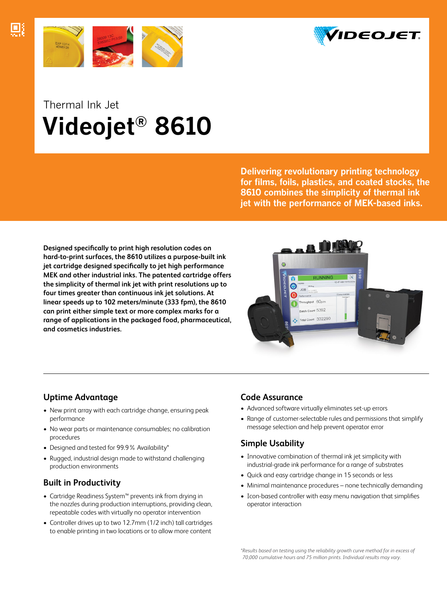



## Thermal Ink Jet Videojet® 8610

Delivering revolutionary printing technology for films, foils, plastics, and coated stocks, the 8610 combines the simplicity of thermal ink jet with the performance of MEK-based inks.

**Designed specifically to print high resolution codes on hard-to-print surfaces, the 8610 utilizes a purpose-built ink jet cartridge designed specifically to jet high performance MEK and other industrial inks. The patented cartridge offers the simplicity of thermal ink jet with print resolutions up to four times greater than continuous ink jet solutions. At linear speeds up to 102 meters/minute (333 fpm), the 8610 can print either simple text or more complex marks for a range of applications in the packaged food, pharmaceutical, and cosmetics industries.**



#### **Uptime Advantage**

- New print array with each cartridge change, ensuring peak performance
- No wear parts or maintenance consumables; no calibration procedures
- Designed and tested for 99.9% Availability\*
- Rugged, industrial design made to withstand challenging production environments

#### **Built in Productivity**

- Cartridge Readiness System™ prevents ink from drying in the nozzles during production interruptions, providing clean, repeatable codes with virtually no operator intervention
- Controller drives up to two 12.7mm (1/2 inch) tall cartridges to enable printing in two locations or to allow more content

#### **Code Assurance**

- Advanced software virtually eliminates set-up errors
- Range of customer-selectable rules and permissions that simplify message selection and help prevent operator error

### **Simple Usability**

- Innovative combination of thermal ink jet simplicity with industrial-grade ink performance for a range of substrates
- Quick and easy cartridge change in 15 seconds or less
- Minimal maintenance procedures none technically demanding
- Icon-based controller with easy menu navigation that simplifies operator interaction

*\*Results based on testing using the reliability growth curve method for in excess of 70,000 cumulative hours and 75 million prints. Individual results may vary.*